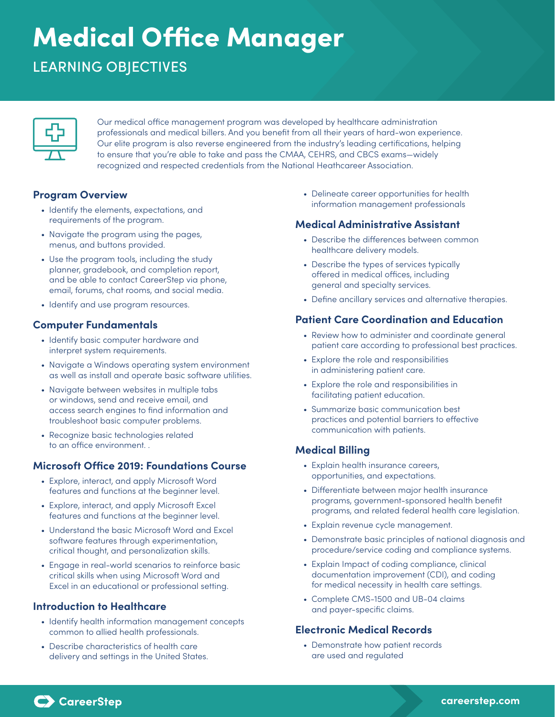# Medical Office Manager

# LEARNING OBJECTIVES

Our medical office management program was developed by healthcare administration professionals and medical billers. And you benefit from all their years of hard-won experience. Our elite program is also reverse engineered from the industry's leading certifications, helping to ensure that you're able to take and pass the CMAA, CEHRS, and CBCS exams—widely recognized and respected credentials from the National Heathcareer Association.

# **Program Overview**

- Identify the elements, expectations, and requirements of the program.
- Navigate the program using the pages, menus, and buttons provided.
- Use the program tools, including the study planner, gradebook, and completion report, and be able to contact CareerStep via phone, email, forums, chat rooms, and social media.
- Identify and use program resources.

### **Computer Fundamentals**

- Identify basic computer hardware and interpret system requirements.
- Navigate a Windows operating system environment as well as install and operate basic software utilities.
- Navigate between websites in multiple tabs or windows, send and receive email, and access search engines to find information and troubleshoot basic computer problems.
- Recognize basic technologies related to an office environment. .

### **Microsoft Office 2019: Foundations Course**

- Explore, interact, and apply Microsoft Word features and functions at the beginner level.
- Explore, interact, and apply Microsoft Excel features and functions at the beginner level.
- Understand the basic Microsoft Word and Excel software features through experimentation, critical thought, and personalization skills.
- Engage in real-world scenarios to reinforce basic critical skills when using Microsoft Word and Excel in an educational or professional setting.

### **Introduction to Healthcare**

- Identify health information management concepts common to allied health professionals.
- Describe characteristics of health care delivery and settings in the United States.

• Delineate career opportunities for health information management professionals

#### **Medical Administrative Assistant**

- Describe the differences between common healthcare delivery models.
- Describe the types of services typically offered in medical offices, including general and specialty services.
- Define ancillary services and alternative therapies.

# **Patient Care Coordination and Education**

- Review how to administer and coordinate general patient care according to professional best practices.
- Explore the role and responsibilities in administering patient care.
- Explore the role and responsibilities in facilitating patient education.
- Summarize basic communication best practices and potential barriers to effective communication with patients.

# **Medical Billing**

- Explain health insurance careers, opportunities, and expectations.
- Differentiate between major health insurance programs, government-sponsored health benefit programs, and related federal health care legislation.
- Explain revenue cycle management.
- Demonstrate basic principles of national diagnosis and procedure/service coding and compliance systems.
- Explain Impact of coding compliance, clinical documentation improvement (CDI), and coding for medical necessity in health care settings.
- Complete CMS-1500 and UB-04 claims and payer-specific claims.

### **Electronic Medical Records**

• Demonstrate how patient records are used and regulated